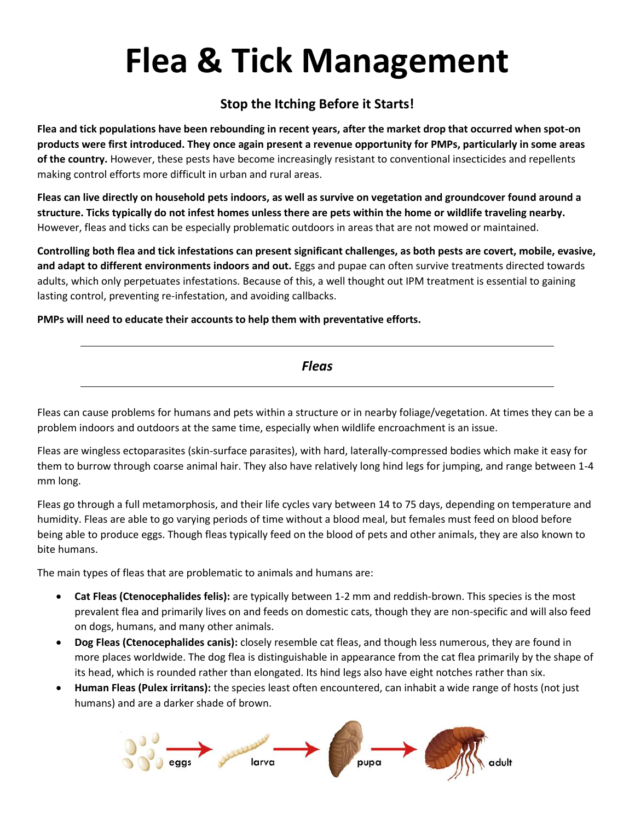# **Flea & Tick Management**

#### **Stop the Itching Before it Starts!**

**Flea and tick populations have been rebounding in recent years, after the market drop that occurred when spot-on products were first introduced. They once again present a revenue opportunity for PMPs, particularly in some areas of the country.** However, these pests have become increasingly resistant to conventional insecticides and repellents making control efforts more difficult in urban and rural areas.

**Fleas can live directly on household pets indoors, as well as survive on vegetation and groundcover found around a structure. Ticks typically do not infest homes unless there are pets within the home or wildlife traveling nearby.** However, fleas and ticks can be especially problematic outdoors in areas that are not mowed or maintained.

**Controlling both flea and tick infestations can present significant challenges, as both pests are covert, mobile, evasive, and adapt to different environments indoors and out.** Eggs and pupae can often survive treatments directed towards adults, which only perpetuates infestations. Because of this, a well thought out IPM treatment is essential to gaining lasting control, preventing re-infestation, and avoiding callbacks.

**PMPs will need to educate their accounts to help them with preventative efforts.**

Fleas can cause problems for humans and pets within a structure or in nearby foliage/vegetation. At times they can be a problem indoors and outdoors at the same time, especially when wildlife encroachment is an issue.

Fleas are wingless ectoparasites (skin-surface parasites), with hard, laterally-compressed bodies which make it easy for them to burrow through coarse animal hair. They also have relatively long hind legs for jumping, and range between 1-4 mm long.

Fleas go through a full metamorphosis, and their life cycles vary between 14 to 75 days, depending on temperature and humidity. Fleas are able to go varying periods of time without a blood meal, but females must feed on blood before being able to produce eggs. Though fleas typically feed on the blood of pets and other animals, they are also known to bite humans.

The main types of fleas that are problematic to animals and humans are:

- **Cat Fleas (Ctenocephalides felis):** are typically between 1-2 mm and reddish-brown. This species is the most prevalent flea and primarily lives on and feeds on domestic cats, though they are non-specific and will also feed on dogs, humans, and many other animals.
- **Dog Fleas (Ctenocephalides canis):** closely resemble cat fleas, and though less numerous, they are found in more places worldwide. The dog flea is distinguishable in appearance from the cat flea primarily by the shape of its head, which is rounded rather than elongated. Its hind legs also have eight notches rather than six.
- **Human Fleas (Pulex irritans):** the species least often encountered, can inhabit a wide range of hosts (not just humans) and are a darker shade of brown.

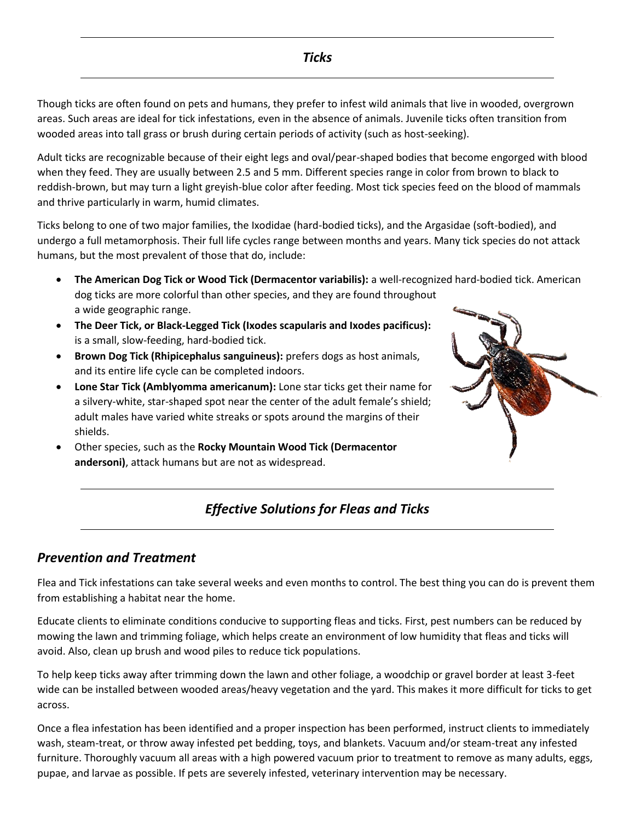Though ticks are often found on pets and humans, they prefer to infest wild animals that live in wooded, overgrown areas. Such areas are ideal for tick infestations, even in the absence of animals. Juvenile ticks often transition from wooded areas into tall grass or brush during certain periods of activity (such as host-seeking).

Adult ticks are recognizable because of their eight legs and oval/pear-shaped bodies that become engorged with blood when they feed. They are usually between 2.5 and 5 mm. Different species range in color from brown to black to reddish-brown, but may turn a light greyish-blue color after feeding. Most tick species feed on the blood of mammals and thrive particularly in warm, humid climates.

Ticks belong to one of two major families, the Ixodidae (hard-bodied ticks), and the Argasidae (soft-bodied), and undergo a full metamorphosis. Their full life cycles range between months and years. Many tick species do not attack humans, but the most prevalent of those that do, include:

- **The American Dog Tick or Wood Tick (Dermacentor variabilis):** a well-recognized hard-bodied tick. American dog ticks are more colorful than other species, and they are found throughout a wide geographic range.
- **The Deer Tick, or Black-Legged Tick (Ixodes scapularis and Ixodes pacificus):** is a small, slow-feeding, hard-bodied tick.
- **Brown Dog Tick (Rhipicephalus sanguineus):** prefers dogs as host animals, and its entire life cycle can be completed indoors.
- **Lone Star Tick (Amblyomma americanum):** Lone star ticks get their name for a silvery-white, star-shaped spot near the center of the adult female's shield; adult males have varied white streaks or spots around the margins of their shields.
- Other species, such as the **Rocky Mountain Wood Tick (Dermacentor andersoni)**, attack humans but are not as widespread.



#### *Effective Solutions for Fleas and Ticks*

#### *Prevention and Treatment*

Flea and Tick infestations can take several weeks and even months to control. The best thing you can do is prevent them from establishing a habitat near the home.

Educate clients to eliminate conditions conducive to supporting fleas and ticks. First, pest numbers can be reduced by mowing the lawn and trimming foliage, which helps create an environment of low humidity that fleas and ticks will avoid. Also, clean up brush and wood piles to reduce tick populations.

To help keep ticks away after trimming down the lawn and other foliage, a woodchip or gravel border at least 3-feet wide can be installed between wooded areas/heavy vegetation and the yard. This makes it more difficult for ticks to get across.

Once a flea infestation has been identified and a proper inspection has been performed, instruct clients to immediately wash, steam-treat, or throw away infested pet bedding, toys, and blankets. Vacuum and/or steam-treat any infested furniture. Thoroughly vacuum all areas with a high powered vacuum prior to treatment to remove as many adults, eggs, pupae, and larvae as possible. If pets are severely infested, veterinary intervention may be necessary.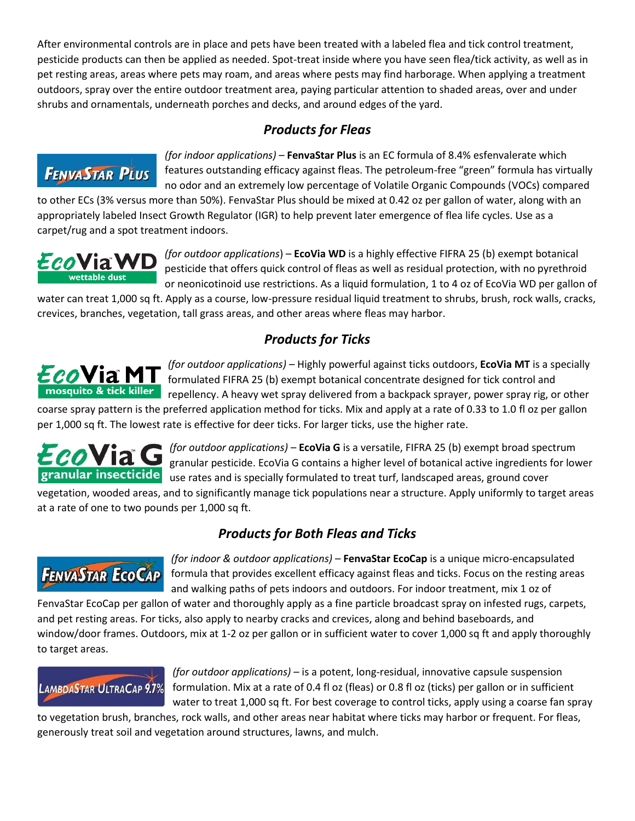After environmental controls are in place and pets have been treated with a labeled flea and tick control treatment, pesticide products can then be applied as needed. Spot-treat inside where you have seen flea/tick activity, as well as in pet resting areas, areas where pets may roam, and areas where pests may find harborage. When applying a treatment outdoors, spray over the entire outdoor treatment area, paying particular attention to shaded areas, over and under shrubs and ornamentals, underneath porches and decks, and around edges of the yard.

#### *Products for Fleas*

### **FENVASTAR PLUS**

*(for indoor applications)* – **FenvaStar Plus** is an EC formula of 8.4% esfenvalerate which features outstanding efficacy against fleas. The petroleum-free "green" formula has virtually no odor and an extremely low percentage of Volatile Organic Compounds (VOCs) compared

to other ECs (3% versus more than 50%). FenvaStar Plus should be mixed at 0.42 oz per gallon of water, along with an appropriately labeled Insect Growth Regulator (IGR) to help prevent later emergence of flea life cycles. Use as a carpet/rug and a spot treatment indoors.



*(for outdoor applications*) – **EcoVia WD** is a highly effective FIFRA 25 (b) exempt botanical pesticide that offers quick control of fleas as well as residual protection, with no pyrethroid or neonicotinoid use restrictions. As a liquid formulation, 1 to 4 oz of EcoVia WD per gallon of

water can treat 1,000 sq ft. Apply as a course, low-pressure residual liquid treatment to shrubs, brush, rock walls, cracks, crevices, branches, vegetation, tall grass areas, and other areas where fleas may harbor.

#### *Products for Ticks*



*(for outdoor applications)* – Highly powerful against ticks outdoors, **EcoVia MT** is a specially formulated FIFRA 25 (b) exempt botanical concentrate designed for tick control and repellency. A heavy wet spray delivered from a backpack sprayer, power spray rig, or other

coarse spray pattern is the preferred application method for ticks. Mix and apply at a rate of 0.33 to 1.0 fl oz per gallon per 1,000 sq ft. The lowest rate is effective for deer ticks. For larger ticks, use the higher rate.



*(for outdoor applications)* – **EcoVia G** is a versatile, FIFRA 25 (b) exempt broad spectrum granular pesticide. EcoVia G contains a higher level of botanical active ingredients for lower granular insecticide use rates and is specially formulated to treat turf, landscaped areas, ground cover

vegetation, wooded areas, and to significantly manage tick populations near a structure. Apply uniformly to target areas at a rate of one to two pounds per 1,000 sq ft.

#### *Products for Both Fleas and Ticks*

## **FENVASTAR ECOCAP**

*(for indoor & outdoor applications)* – **FenvaStar EcoCap** is a unique micro-encapsulated formula that provides excellent efficacy against fleas and ticks. Focus on the resting areas and walking paths of pets indoors and outdoors. For indoor treatment, mix 1 oz of

FenvaStar EcoCap per gallon of water and thoroughly apply as a fine particle broadcast spray on infested rugs, carpets, and pet resting areas. For ticks, also apply to nearby cracks and crevices, along and behind baseboards, and window/door frames. Outdoors, mix at 1-2 oz per gallon or in sufficient water to cover 1,000 sq ft and apply thoroughly to target areas.

## **LAMBDASTAR ULTRACAP 9.7%**

*(for outdoor applications)* – is a potent, long-residual, innovative capsule suspension formulation. Mix at a rate of 0.4 fl oz (fleas) or 0.8 fl oz (ticks) per gallon or in sufficient water to treat 1,000 sq ft. For best coverage to control ticks, apply using a coarse fan spray

to vegetation brush, branches, rock walls, and other areas near habitat where ticks may harbor or frequent. For fleas, generously treat soil and vegetation around structures, lawns, and mulch.